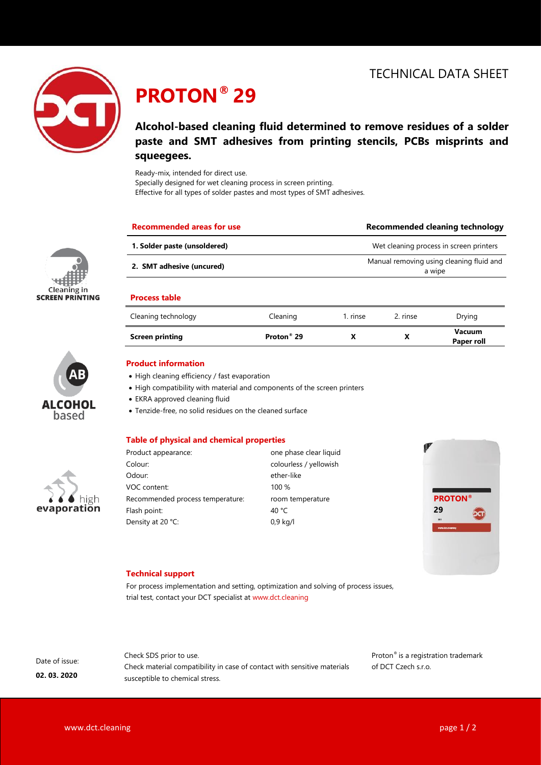# TECHNICAL DATA SHEET



# **PROTON® 29**

**Alcohol-based cleaning fluid determined to remove residues of a solder paste and SMT adhesives from printing stencils, PCBs misprints and squeegees.**

Ready-mix, intended for direct use. Specially designed for wet cleaning process in screen printing. Effective for all types of solder pastes and most types of SMT adhesives.

| <b>Recommended areas for use</b> | <b>Recommended cleaning technology</b>             |
|----------------------------------|----------------------------------------------------|
| 1. Solder paste (unsoldered)     | Wet cleaning process in screen printers            |
| 2. SMT adhesive (uncured)        | Manual removing using cleaning fluid and<br>a wipe |
|                                  |                                                    |

#### **Process table**

| Cleaning technology    | Cleaning               | 1. rinse | 2. rinse | Drying                      |
|------------------------|------------------------|----------|----------|-----------------------------|
| <b>Screen printing</b> | Proton <sup>®</sup> 29 |          |          | <b>Vacuum</b><br>Paper roll |



Cleaning in **SCREEN PRINTING** 

### **Product information**

- High cleaning efficiency / fast evaporation
- High compatibility with material and components of the screen printers
- EKRA approved cleaning fluid
- Tenzide-free, no solid residues on the cleaned surface

## **Table of physical and chemical properties**

| $\bullet \bullet \bullet$ high<br>evaporation |  |
|-----------------------------------------------|--|

| Product appearance:              | one phase clear liquid |
|----------------------------------|------------------------|
| Colour:                          | colourless / yellowish |
| Odour:                           | ether-like             |
| VOC content:                     | 100%                   |
| Recommended process temperature: | room temperature       |
| Flash point:                     | 40 °C                  |
| Density at 20 °C:                | $0.9$ kg/l             |



### **Technical support**

For process implementation and setting, optimization and solving of process issues, trial test, contact your DCT specialist at www.dct.cleaning

Date of issue: **02. 03. 2020**

Check SDS prior to use. Check material compatibility in case of contact with sensitive materials susceptible to chemical stress.

Proton® is a registration trademark of DCT Czech s.r.o.